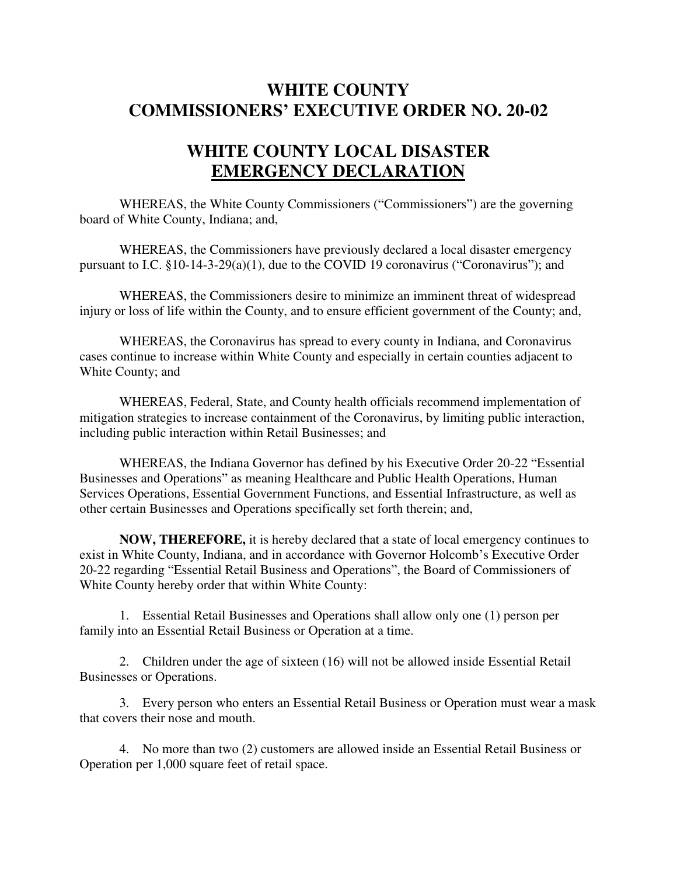## **WHITE COUNTY COMMISSIONERS' EXECUTIVE ORDER NO. 20-02**

## **WHITE COUNTY LOCAL DISASTER EMERGENCY DECLARATION**

WHEREAS, the White County Commissioners ("Commissioners") are the governing board of White County, Indiana; and,

WHEREAS, the Commissioners have previously declared a local disaster emergency pursuant to I.C. §10-14-3-29(a)(1), due to the COVID 19 coronavirus ("Coronavirus"); and

 WHEREAS, the Commissioners desire to minimize an imminent threat of widespread injury or loss of life within the County, and to ensure efficient government of the County; and,

 WHEREAS, the Coronavirus has spread to every county in Indiana, and Coronavirus cases continue to increase within White County and especially in certain counties adjacent to White County; and

WHEREAS, Federal, State, and County health officials recommend implementation of mitigation strategies to increase containment of the Coronavirus, by limiting public interaction, including public interaction within Retail Businesses; and

WHEREAS, the Indiana Governor has defined by his Executive Order 20-22 "Essential Businesses and Operations" as meaning Healthcare and Public Health Operations, Human Services Operations, Essential Government Functions, and Essential Infrastructure, as well as other certain Businesses and Operations specifically set forth therein; and,

**NOW, THEREFORE,** it is hereby declared that a state of local emergency continues to exist in White County, Indiana, and in accordance with Governor Holcomb's Executive Order 20-22 regarding "Essential Retail Business and Operations", the Board of Commissioners of White County hereby order that within White County:

1. Essential Retail Businesses and Operations shall allow only one (1) person per family into an Essential Retail Business or Operation at a time.

2. Children under the age of sixteen (16) will not be allowed inside Essential Retail Businesses or Operations.

3. Every person who enters an Essential Retail Business or Operation must wear a mask that covers their nose and mouth.

4. No more than two (2) customers are allowed inside an Essential Retail Business or Operation per 1,000 square feet of retail space.